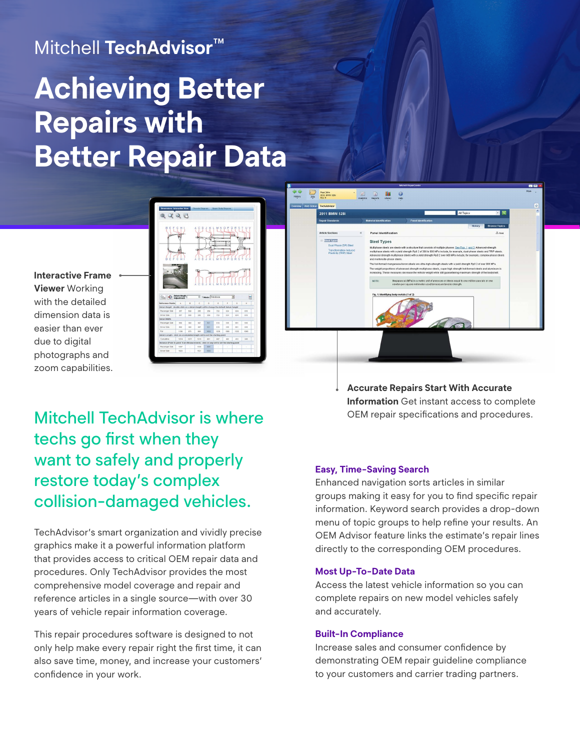# **Achieving Better Repairs with Better Repair Data** Mitchell **TechAdvisor™**

**Interactive Frame Viewer** Working with the detailed dimension data is easier than ever due to digital photographs and zoom capabilities.



 $\mathbf{u}$  $\bullet$ 

 $\hfill \square$ 

Mitchell TechAdvisor is where techs go first when they want to safely and properly restore today's complex collision-damaged vehicles.

TechAdvisor's smart organization and vividly precise graphics make it a powerful information platform that provides access to critical OEM repair data and procedures. Only TechAdvisor provides the most comprehensive model coverage and repair and reference articles in a single source—with over 30 years of vehicle repair information coverage.

This repair procedures software is designed to not only help make every repair right the first time, it can also save time, money, and increase your customers' confidence in your work.

**Accurate Repairs Start With Accurate Information** Get instant access to complete OEM repair specifications and procedures.

#### **Easy, Time-Saving Search**

Enhanced navigation sorts articles in similar groups making it easy for you to find specific repair information. Keyword search provides a drop-down menu of topic groups to help refine your results. An OEM Advisor feature links the estimate's repair lines directly to the corresponding OEM procedures.

#### **Most Up-To-Date Data**

Access the latest vehicle information so you can complete repairs on new model vehicles safely and accurately.

#### **Built-In Compliance**

Increase sales and consumer confidence by demonstrating OEM repair guideline compliance to your customers and carrier trading partners.